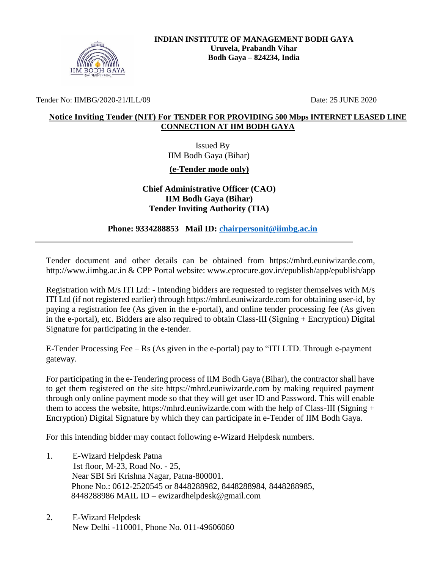

Tender No: IIMBG/2020-21/ILL/09 Date: 25 JUNE 2020

#### **Notice Inviting Tender (NIT) For TENDER FOR PROVIDING 500 Mbps INTERNET LEASED LINE CONNECTION AT IIM BODH GAYA**

 Issued By IIM Bodh Gaya (Bihar)

**(e-Tender mode only)**

**Chief Administrative Officer (CAO) IIM Bodh Gaya (Bihar) Tender Inviting Authority (TIA)**

 **Phone: 9334288853 Mail ID: [chairpersonit@iimbg.ac.in](mailto:chairpersonit@iimbg.ac.in)**

Tender document and other details can be obtained from [https://mhrd.euniwizarde.com,](https://mhrd.euniwizarde.com/) [http://www.iimbg.ac.in &](http://www.iimbg.ac.in/) CPP Portal website: [www.eprocure.gov.in/epublish/app/epublish/app](http://www.eprocure.gov.in/epublish/app/epublish/app)

Registration with M/s ITI Ltd: - Intending bidders are requested to register themselves with M/s ITI Ltd (if not registered earlier) through https://mhrd.euniwizarde.com for obtaining user-id, by paying a registration fee (As given in the e-portal), and online tender processing fee (As given in the e-portal), etc. Bidders are also required to obtain Class-III (Signing + Encryption) Digital Signature for participating in the e-tender.

E-Tender Processing Fee – Rs (As given in the e-portal) pay to "ITI LTD. Through e-payment gateway.

For participating in the e-Tendering process of IIM Bodh Gaya (Bihar), the contractor shall have to get them registered on the site https://mhrd.euniwizarde.com by making required payment through only online payment mode so that they will get user ID and Password. This will enable them to access the website, https://mhrd.euniwizarde.com with the help of Class-III (Signing + Encryption) Digital Signature by which they can participate in e-Tender of IIM Bodh Gaya.

For this intending bidder may contact following e-Wizard Helpdesk numbers.

- 1. E-Wizard Helpdesk Patna 1st floor, M-23, Road No. - 25, Near SBI Sri Krishna Nagar, Patna-800001. Phone No.: 0612-2520545 or 8448288982, 8448288984, 8448288985, 8448288986 MAIL ID – ewizardhelpdesk@gmail.com
- 2. E-Wizard Helpdesk New Delhi -110001, Phone No. 011-49606060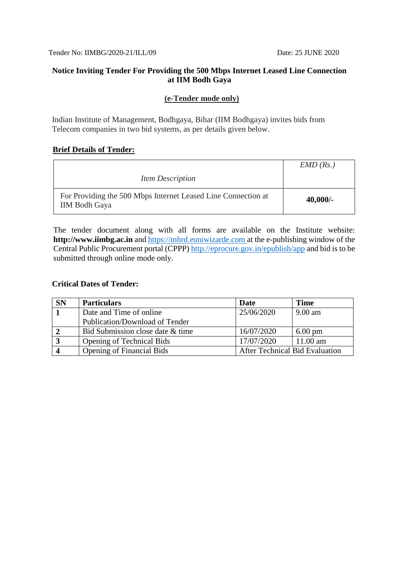Tender No: IIMBG/2020-21/ILL/09 Date: 25 JUNE 2020

#### **Notice Inviting Tender For Providing the 500 Mbps Internet Leased Line Connection at IIM Bodh Gaya**

## **(e-Tender mode only)**

Indian Institute of Management, Bodhgaya, Bihar (IIM Bodhgaya) invites bids from Telecom companies in two bid systems, as per details given below.

## **Brief Details of Tender:**

|                                                                                       | EMD(Rs.)   |
|---------------------------------------------------------------------------------------|------------|
| <i>Item Description</i>                                                               |            |
| For Providing the 500 Mbps Internet Leased Line Connection at<br><b>IIM Bodh Gaya</b> | $40,000/-$ |

The tender document along with all forms are available on the Institute website: **http://www.iimbg.ac.in** and [https://mhrd.euniwizarde.com](https://mhrd.euniwizarde.com/) at the e-publishing window of the Central Public Procurement portal (CPPP) http://eprocure.gov.in/epublish/app and bid is to be submitted through online mode only.

#### **Critical Dates of Tender:**

| <b>SN</b>      | <b>Particulars</b>               | Date                                  | <b>Time</b>       |
|----------------|----------------------------------|---------------------------------------|-------------------|
|                | Date and Time of online          | 25/06/2020                            | $9.00$ am         |
|                | Publication/Download of Tender   |                                       |                   |
| $\overline{2}$ | Bid Submission close date & time | 16/07/2020                            | $6.00 \text{ pm}$ |
| $\overline{3}$ | <b>Opening of Technical Bids</b> | 17/07/2020                            | $11.00$ am        |
| $\overline{4}$ | <b>Opening of Financial Bids</b> | <b>After Technical Bid Evaluation</b> |                   |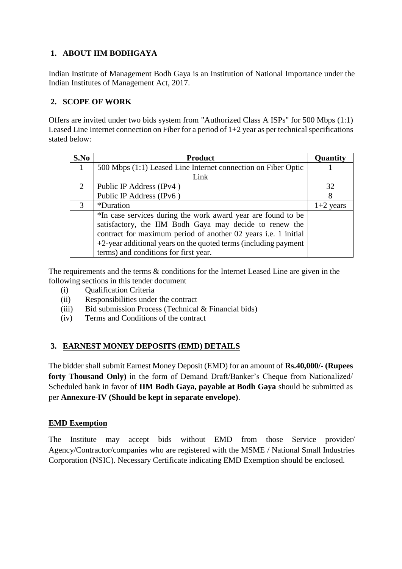# **1. ABOUT IIM BODHGAYA**

Indian Institute of Management Bodh Gaya is an Institution of National Importance under the Indian Institutes of Management Act, 2017.

# **2. SCOPE OF WORK**

Offers are invited under two bids system from "Authorized Class A ISPs" for 500 Mbps (1:1) Leased Line Internet connection on Fiber for a period of 1+2 year as per technical specifications stated below:

| S.No | <b>Product</b>                                                      | Quantity    |
|------|---------------------------------------------------------------------|-------------|
|      | 500 Mbps (1:1) Leased Line Internet connection on Fiber Optic       |             |
|      | Link                                                                |             |
| 2    | Public IP Address (IPv4)                                            | 32          |
|      | Public IP Address (IPv6)                                            | 8           |
| 3    | <i>*Duration</i>                                                    | $1+2$ years |
|      | *In case services during the work award year are found to be        |             |
|      | satisfactory, the IIM Bodh Gaya may decide to renew the             |             |
|      | contract for maximum period of another 02 years i.e. 1 initial      |             |
|      | $+2$ -year additional years on the quoted terms (including payment) |             |
|      | terms) and conditions for first year.                               |             |

The requirements and the terms & conditions for the Internet Leased Line are given in the following sections in this tender document

- (i) Qualification Criteria
- (ii) Responsibilities under the contract
- (iii) Bid submission Process (Technical & Financial bids)
- (iv) Terms and Conditions of the contract

# **3. EARNEST MONEY DEPOSITS (EMD) DETAILS**

The bidder shall submit Earnest Money Deposit (EMD) for an amount of **Rs.40,000/- (Rupees forty Thousand Only)** in the form of Demand Draft/Banker's Cheque from Nationalized/ Scheduled bank in favor of **IIM Bodh Gaya, payable at Bodh Gaya** should be submitted as per **Annexure-IV (Should be kept in separate envelope)**.

## **EMD Exemption**

The Institute may accept bids without EMD from those Service provider/ Agency/Contractor/companies who are registered with the MSME / National Small Industries Corporation (NSIC). Necessary Certificate indicating EMD Exemption should be enclosed.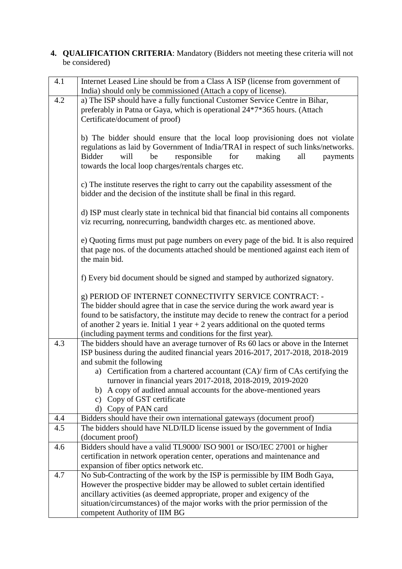#### **4. QUALIFICATION CRITERIA**: Mandatory (Bidders not meeting these criteria will not be considered)

| 4.1 | Internet Leased Line should be from a Class A ISP (license from government of                                                                |
|-----|----------------------------------------------------------------------------------------------------------------------------------------------|
|     | India) should only be commissioned (Attach a copy of license).                                                                               |
| 4.2 | a) The ISP should have a fully functional Customer Service Centre in Bihar,                                                                  |
|     | preferably in Patna or Gaya, which is operational 24*7*365 hours. (Attach                                                                    |
|     | Certificate/document of proof)                                                                                                               |
|     |                                                                                                                                              |
|     | b) The bidder should ensure that the local loop provisioning does not violate                                                                |
|     | regulations as laid by Government of India/TRAI in respect of such links/networks.<br>will<br>be<br>for                                      |
|     | responsible<br>making<br><b>Bidder</b><br>all<br>payments<br>towards the local loop charges/rentals charges etc.                             |
|     |                                                                                                                                              |
|     | c) The institute reserves the right to carry out the capability assessment of the                                                            |
|     | bidder and the decision of the institute shall be final in this regard.                                                                      |
|     |                                                                                                                                              |
|     | d) ISP must clearly state in technical bid that financial bid contains all components                                                        |
|     | viz recurring, nonrecurring, bandwidth charges etc. as mentioned above.                                                                      |
|     | e) Quoting firms must put page numbers on every page of the bid. It is also required                                                         |
|     | that page nos. of the documents attached should be mentioned against each item of                                                            |
|     | the main bid.                                                                                                                                |
|     | f) Every bid document should be signed and stamped by authorized signatory.                                                                  |
|     |                                                                                                                                              |
|     | g) PERIOD OF INTERNET CONNECTIVITY SERVICE CONTRACT: -                                                                                       |
|     | The bidder should agree that in case the service during the work award year is                                                               |
|     | found to be satisfactory, the institute may decide to renew the contract for a period                                                        |
|     | of another 2 years ie. Initial 1 year $+ 2$ years additional on the quoted terms                                                             |
|     | (including payment terms and conditions for the first year).                                                                                 |
| 4.3 | The bidders should have an average turnover of Rs 60 lacs or above in the Internet                                                           |
|     | ISP business during the audited financial years 2016-2017, 2017-2018, 2018-2019                                                              |
|     | and submit the following                                                                                                                     |
|     | a) Certification from a chartered accountant (CA)/ firm of CAs certifying the<br>turnover in financial years 2017-2018, 2018-2019, 2019-2020 |
|     | A copy of audited annual accounts for the above-mentioned years<br>b)                                                                        |
|     | c) Copy of GST certificate                                                                                                                   |
|     | d) Copy of PAN card                                                                                                                          |
| 4.4 | Bidders should have their own international gateways (document proof)                                                                        |
| 4.5 | The bidders should have NLD/ILD license issued by the government of India                                                                    |
|     | (document proof)                                                                                                                             |
| 4.6 | Bidders should have a valid TL9000/ ISO 9001 or ISO/IEC 27001 or higher                                                                      |
|     | certification in network operation center, operations and maintenance and                                                                    |
|     | expansion of fiber optics network etc.                                                                                                       |
| 4.7 | No Sub-Contracting of the work by the ISP is permissible by IIM Bodh Gaya,                                                                   |
|     | However the prospective bidder may be allowed to sublet certain identified                                                                   |
|     | ancillary activities (as deemed appropriate, proper and exigency of the                                                                      |
|     | situation/circumstances) of the major works with the prior permission of the                                                                 |
|     | competent Authority of IIM BG                                                                                                                |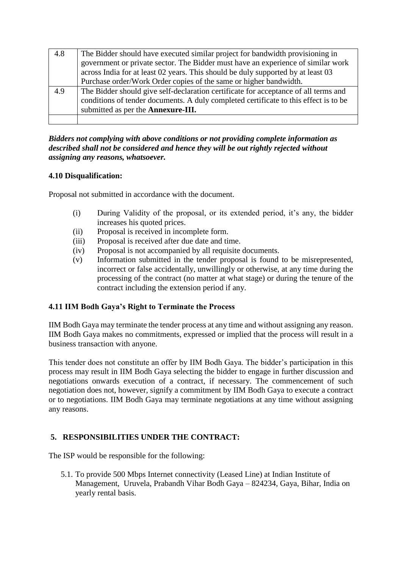| 4.8 | The Bidder should have executed similar project for bandwidth provisioning in        |
|-----|--------------------------------------------------------------------------------------|
|     | government or private sector. The Bidder must have an experience of similar work     |
|     | across India for at least 02 years. This should be duly supported by at least 03     |
|     | Purchase order/Work Order copies of the same or higher bandwidth.                    |
| 4.9 | The Bidder should give self-declaration certificate for acceptance of all terms and  |
|     | conditions of tender documents. A duly completed certificate to this effect is to be |
|     | submitted as per the <b>Annexure-III.</b>                                            |
|     |                                                                                      |

*Bidders not complying with above conditions or not providing complete information as described shall not be considered and hence they will be out rightly rejected without assigning any reasons, whatsoever.*

## **4.10 Disqualification:**

Proposal not submitted in accordance with the document.

- (i) During Validity of the proposal, or its extended period, it's any, the bidder increases his quoted prices.
- (ii) Proposal is received in incomplete form.
- (iii) Proposal is received after due date and time.
- (iv) Proposal is not accompanied by all requisite documents.
- (v) Information submitted in the tender proposal is found to be misrepresented, incorrect or false accidentally, unwillingly or otherwise, at any time during the processing of the contract (no matter at what stage) or during the tenure of the contract including the extension period if any.

#### **4.11 IIM Bodh Gaya's Right to Terminate the Process**

IIM Bodh Gaya may terminate the tender process at any time and without assigning any reason. IIM Bodh Gaya makes no commitments, expressed or implied that the process will result in a business transaction with anyone.

This tender does not constitute an offer by IIM Bodh Gaya. The bidder's participation in this process may result in IIM Bodh Gaya selecting the bidder to engage in further discussion and negotiations onwards execution of a contract, if necessary. The commencement of such negotiation does not, however, signify a commitment by IIM Bodh Gaya to execute a contract or to negotiations. IIM Bodh Gaya may terminate negotiations at any time without assigning any reasons.

## **5. RESPONSIBILITIES UNDER THE CONTRACT:**

The ISP would be responsible for the following:

5.1. To provide 500 Mbps Internet connectivity (Leased Line) at Indian Institute of Management, Uruvela, Prabandh Vihar Bodh Gaya – 824234, Gaya, Bihar, India on yearly rental basis.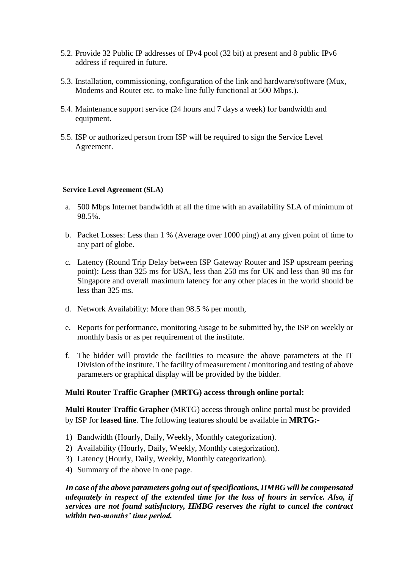- 5.2. Provide 32 Public IP addresses of IPv4 pool (32 bit) at present and 8 public IPv6 address if required in future.
- 5.3. Installation, commissioning, configuration of the link and hardware/software (Mux, Modems and Router etc. to make line fully functional at 500 Mbps.).
- 5.4. Maintenance support service (24 hours and 7 days a week) for bandwidth and equipment.
- 5.5. ISP or authorized person from ISP will be required to sign the Service Level Agreement.

#### **Service Level Agreement (SLA)**

- a. 500 Mbps Internet bandwidth at all the time with an availability SLA of minimum of 98.5%.
- b. Packet Losses: Less than 1 % (Average over 1000 ping) at any given point of time to any part of globe.
- c. Latency (Round Trip Delay between ISP Gateway Router and ISP upstream peering point): Less than 325 ms for USA, less than 250 ms for UK and less than 90 ms for Singapore and overall maximum latency for any other places in the world should be less than 325 ms.
- d. Network Availability: More than 98.5 % per month,
- e. Reports for performance, monitoring /usage to be submitted by, the ISP on weekly or monthly basis or as per requirement of the institute.
- f. The bidder will provide the facilities to measure the above parameters at the IT Division of the institute. The facility of measurement / monitoring and testing of above parameters or graphical display will be provided by the bidder.

#### **Multi Router Traffic Grapher (MRTG) access through online portal:**

**Multi Router Traffic Grapher** (MRTG) access through online portal must be provided by ISP for **leased line**. The following features should be available in **MRTG:-**

- 1) Bandwidth (Hourly, Daily, Weekly, Monthly categorization).
- 2) Availability (Hourly, Daily, Weekly, Monthly categorization).
- 3) Latency (Hourly, Daily, Weekly, Monthly categorization).
- 4) Summary of the above in one page.

## *In case of the above parameters going out of specifications, IIMBG will be compensated adequately in respect of the extended time for the loss of hours in service. Also, if services are not found satisfactory, IIMBG reserves the right to cancel the contract within two-months' time period.*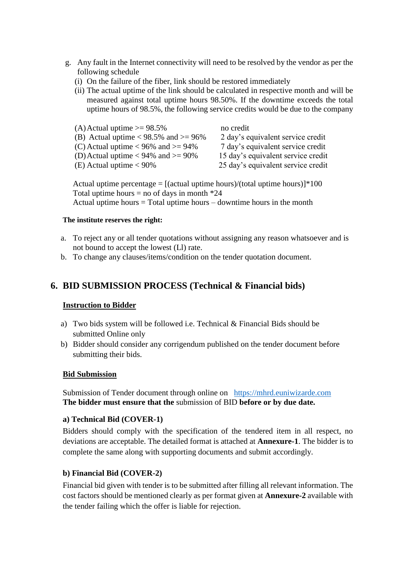- g. Any fault in the Internet connectivity will need to be resolved by the vendor as per the following schedule
	- (i) On the failure of the fiber, link should be restored immediately
	- (ii) The actual uptime of the link should be calculated in respective month and will be measured against total uptime hours 98.50%. If the downtime exceeds the total uptime hours of 98.5%, the following service credits would be due to the company

| (A) Actual uptime $\ge$ 98.5%              | no credit                          |
|--------------------------------------------|------------------------------------|
| (B) Actual uptime $< 98.5\%$ and $>= 96\%$ | 2 day's equivalent service credit  |
| (C) Actual uptime $< 96\%$ and $>= 94\%$   | 7 day's equivalent service credit  |
| (D) Actual uptime $< 94\%$ and $>= 90\%$   | 15 day's equivalent service credit |
| (E) Actual uptime $< 90\%$                 | 25 day's equivalent service credit |
|                                            |                                    |

Actual uptime percentage =  $[(actual$  uptime hours $)/(total$  uptime hours $)]$ \*100 Total uptime hours = no of days in month  $*24$ Actual uptime hours  $=$  Total uptime hours  $-$  downtime hours in the month

#### **The institute reserves the right:**

- a. To reject any or all tender quotations without assigning any reason whatsoever and is not bound to accept the lowest (Ll) rate.
- b. To change any clauses/items/condition on the tender quotation document.

# **6. BID SUBMISSION PROCESS (Technical & Financial bids)**

## **Instruction to Bidder**

- a) Two bids system will be followed i.e. Technical & Financial Bids should be submitted Online only
- b) Bidder should consider any corrigendum published on the tender document before submitting their bids.

## **Bid Submission**

Submission of Tender document through online on [https://mhrd.euniwizarde.com](https://mhrd.euniwizarde.com/) **The bidder must ensure that the** submission of BID **before or by due date.** 

## **a) Technical Bid (COVER-1)**

Bidders should comply with the specification of the tendered item in all respect, no deviations are acceptable. The detailed format is attached at **Annexure-1**. The bidder is to complete the same along with supporting documents and submit accordingly.

## **b) Financial Bid (COVER-2)**

Financial bid given with tender is to be submitted after filling all relevant information. The cost factors should be mentioned clearly as per format given at **Annexure-2** available with the tender failing which the offer is liable for rejection.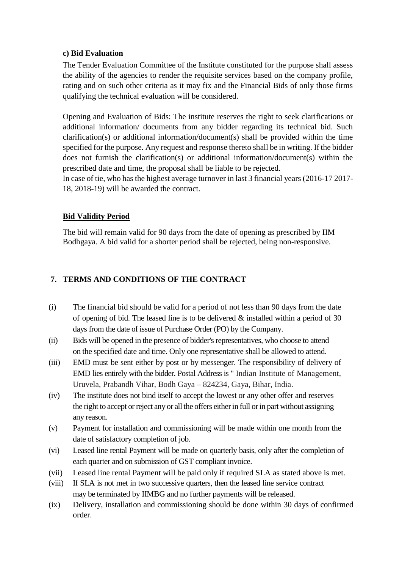#### **c) Bid Evaluation**

The Tender Evaluation Committee of the Institute constituted for the purpose shall assess the ability of the agencies to render the requisite services based on the company profile, rating and on such other criteria as it may fix and the Financial Bids of only those firms qualifying the technical evaluation will be considered.

Opening and Evaluation of Bids: The institute reserves the right to seek clarifications or additional information/ documents from any bidder regarding its technical bid. Such clarification(s) or additional information/document(s) shall be provided within the time specified for the purpose. Any request and response thereto shall be in writing. If the bidder does not furnish the clarification(s) or additional information/document(s) within the prescribed date and time, the proposal shall be liable to be rejected.

In case of tie, who has the highest average turnover in last 3 financial years (2016-17 2017- 18, 2018-19) will be awarded the contract.

## **Bid Validity Period**

The bid will remain valid for 90 days from the date of opening as prescribed by IIM Bodhgaya. A bid valid for a shorter period shall be rejected, being non-responsive.

# **7. TERMS AND CONDITIONS OF THE CONTRACT**

- (i) The financial bid should be valid for a period of not less than 90 days from the date of opening of bid. The leased line is to be delivered  $\&$  installed within a period of 30 days from the date of issue of Purchase Order (PO) by the Company.
- (ii) Bids will be opened in the presence of bidder's representatives, who choose to attend on the specified date and time. Only one representative shall be allowed to attend.
- (iii) EMD must be sent either by post or by messenger. The responsibility of delivery of EMD lies entirely with the bidder. Postal Address is " Indian Institute of Management, Uruvela, Prabandh Vihar, Bodh Gaya – 824234, Gaya, Bihar, India.
- (iv) The institute does not bind itself to accept the lowest or any other offer and reserves the right to accept or reject any or all the offers either in full or in part without assigning any reason.
- (v) Payment for installation and commissioning will be made within one month from the date of satisfactory completion of job.
- (vi) Leased line rental Payment will be made on quarterly basis, only after the completion of each quarter and on submission of GST compliant invoice.
- (vii) Leased line rental Payment will be paid only if required SLA as stated above is met.
- (viii) If SLA is not met in two successive quarters, then the leased line service contract may be terminated by IIMBG and no further payments will be released.
- (ix) Delivery, installation and commissioning should be done within 30 days of confirmed order.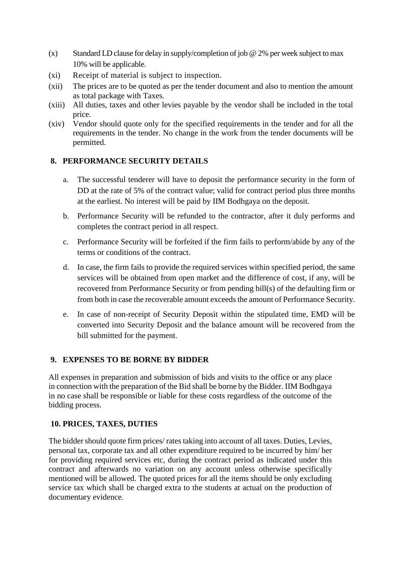- (x) Standard LD clause for delay in supply/completion of job  $@$  2% per week subject to max 10% will be applicable.
- (xi) Receipt of material is subject to inspection.
- (xii) The prices are to be quoted as per the tender document and also to mention the amount as total package with Taxes.
- (xiii) All duties, taxes and other levies payable by the vendor shall be included in the total price.
- (xiv) Vendor should quote only for the specified requirements in the tender and for all the requirements in the tender. No change in the work from the tender documents will be permitted.

## **8. PERFORMANCE SECURITY DETAILS**

- a. The successful tenderer will have to deposit the performance security in the form of DD at the rate of 5% of the contract value; valid for contract period plus three months at the earliest. No interest will be paid by IIM Bodhgaya on the deposit.
- b. Performance Security will be refunded to the contractor, after it duly performs and completes the contract period in all respect.
- c. Performance Security will be forfeited if the firm fails to perform/abide by any of the terms or conditions of the contract.
- d. In case, the firm fails to provide the required services within specified period, the same services will be obtained from open market and the difference of cost, if any, will be recovered from Performance Security or from pending bill(s) of the defaulting firm or from both in case the recoverable amount exceeds the amount of Performance Security.
- e. In case of non-receipt of Security Deposit within the stipulated time, EMD will be converted into Security Deposit and the balance amount will be recovered from the bill submitted for the payment.

## **9. EXPENSES TO BE BORNE BY BIDDER**

All expenses in preparation and submission of bids and visits to the office or any place in connection with the preparation of the Bid shall be borne by the Bidder. IIM Bodhgaya in no case shall be responsible or liable for these costs regardless of the outcome of the bidding process.

## **10. PRICES, TAXES, DUTIES**

The bidder should quote firm prices/ rates taking into account of all taxes. Duties, Levies, personal tax, corporate tax and all other expenditure required to be incurred by him/ her for providing required services etc, during the contract period as indicated under this contract and afterwards no variation on any account unless otherwise specifically mentioned will be allowed. The quoted prices for all the items should be only excluding service tax which shall be charged extra to the students at actual on the production of documentary evidence.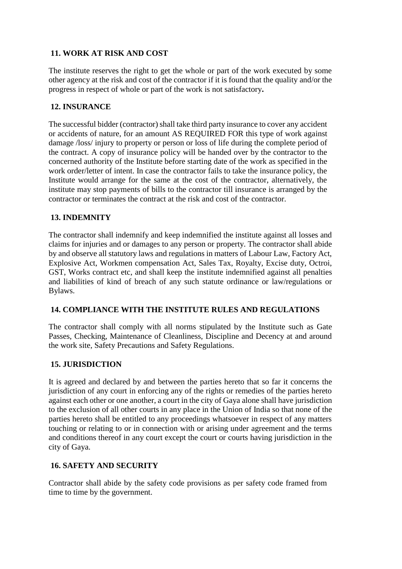# **11. WORK AT RISK AND COST**

The institute reserves the right to get the whole or part of the work executed by some other agency at the risk and cost of the contractor if it is found that the quality and/or the progress in respect of whole or part of the work is not satisfactory**.**

## **12. INSURANCE**

The successful bidder (contractor) shall take third party insurance to cover any accident or accidents of nature, for an amount AS REQUIRED FOR this type of work against damage /loss/ injury to property or person or loss of life during the complete period of the contract. A copy of insurance policy will be handed over by the contractor to the concerned authority of the Institute before starting date of the work as specified in the work order/letter of intent. In case the contractor fails to take the insurance policy, the Institute would arrange for the same at the cost of the contractor, alternatively, the institute may stop payments of bills to the contractor till insurance is arranged by the contractor or terminates the contract at the risk and cost of the contractor.

## **13. INDEMNITY**

The contractor shall indemnify and keep indemnified the institute against all losses and claims for injuries and or damages to any person or property. The contractor shall abide by and observe all statutory laws and regulations in matters of Labour Law, Factory Act, Explosive Act, Workmen compensation Act, Sales Tax, Royalty, Excise duty, Octroi, GST, Works contract etc, and shall keep the institute indemnified against all penalties and liabilities of kind of breach of any such statute ordinance or law/regulations or Bylaws.

## **14. COMPLIANCE WITH THE INSTITUTE RULES AND REGULATIONS**

The contractor shall comply with all norms stipulated by the Institute such as Gate Passes, Checking, Maintenance of Cleanliness, Discipline and Decency at and around the work site, Safety Precautions and Safety Regulations.

## **15. JURISDICTION**

It is agreed and declared by and between the parties hereto that so far it concerns the jurisdiction of any court in enforcing any of the rights or remedies of the parties hereto against each other or one another, a court in the city of Gaya alone shall have jurisdiction to the exclusion of all other courts in any place in the Union of India so that none of the parties hereto shall be entitled to any proceedings whatsoever in respect of any matters touching or relating to or in connection with or arising under agreement and the terms and conditions thereof in any court except the court or courts having jurisdiction in the city of Gaya.

## **16. SAFETY AND SECURITY**

Contractor shall abide by the safety code provisions as per safety code framed from time to time by the government.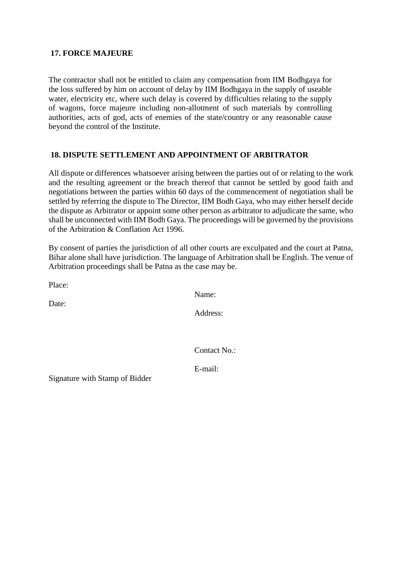#### **17. FORCE MAJEURE**

The contractor shall not be entitled to claim any compensation from IIM Bodhgaya for the loss suffered by him on account of delay by IIM Bodhgaya in the supply of useable water, electricity etc, where such delay is covered by difficulties relating to the supply of wagons, force majeure including non-allotment of such materials by controlling authorities, acts of god, acts of enemies of the state/country or any reasonable cause beyond the control of the Institute.

## **18. DISPUTE SETTLEMENT AND APPOINTMENT OF ARBITRATOR**

All dispute or differences whatsoever arising between the parties out of or relating to the work and the resulting agreement or the breach thereof that cannot be settled by good faith and negotiations between the parties within 60 days of the commencement of negotiation shall be settled by referring the dispute to The Director, IIM Bodh Gaya, who may either herself decide the dispute as Arbitrator or appoint some other person as arbitrator to adjudicate the same, who shall be unconnected with IIM Bodh Gaya. The proceedings will be governed by the provisions of the Arbitration & Conflation Act 1996.

By consent of parties the jurisdiction of all other courts are exculpated and the court at Patna, Bihar alone shall have jurisdiction. The language of Arbitration shall be English. The venue of Arbitration proceedings shall be Patna as the case may be.

Place:

Name:

Date:

Address:

Contact No.:

E-mail:

Signature with Stamp of Bidder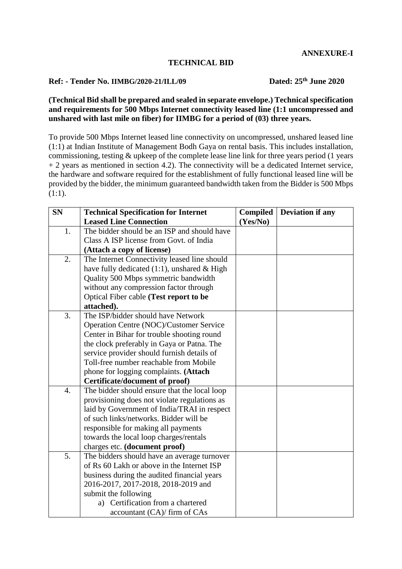#### **TECHNICAL BID**

# **Ref: - Tender No. IIMBG/2020-21/ILL/09 Dated: 25th June 2020**

#### **(Technical Bid shall be prepared and sealed in separate envelope.) Technical specification and requirements for 500 Mbps Internet connectivity leased line (1:1 uncompressed and unshared with last mile on fiber) for IIMBG for a period of (03) three years.**

To provide 500 Mbps Internet leased line connectivity on uncompressed, unshared leased line (1:1) at Indian Institute of Management Bodh Gaya on rental basis. This includes installation, commissioning, testing & upkeep of the complete lease line link for three years period (1 years + 2 years as mentioned in section 4.2). The connectivity will be a dedicated Internet service, the hardware and software required for the establishment of fully functional leased line will be provided by the bidder, the minimum guaranteed bandwidth taken from the Bidder is 500 Mbps (1:1).

| <b>SN</b>        | <b>Technical Specification for Internet</b>    | Compiled | <b>Deviation if any</b> |
|------------------|------------------------------------------------|----------|-------------------------|
|                  | <b>Leased Line Connection</b>                  | (Yes/No) |                         |
| 1.               | The bidder should be an ISP and should have    |          |                         |
|                  | Class A ISP license from Govt. of India        |          |                         |
|                  | (Attach a copy of license)                     |          |                         |
| 2.               | The Internet Connectivity leased line should   |          |                         |
|                  | have fully dedicated $(1:1)$ , unshared & High |          |                         |
|                  | Quality 500 Mbps symmetric bandwidth           |          |                         |
|                  | without any compression factor through         |          |                         |
|                  | Optical Fiber cable (Test report to be         |          |                         |
|                  | attached).                                     |          |                         |
| 3.               | The ISP/bidder should have Network             |          |                         |
|                  | Operation Centre (NOC)/Customer Service        |          |                         |
|                  | Center in Bihar for trouble shooting round     |          |                         |
|                  | the clock preferably in Gaya or Patna. The     |          |                         |
|                  | service provider should furnish details of     |          |                         |
|                  | Toll-free number reachable from Mobile         |          |                         |
|                  | phone for logging complaints. (Attach          |          |                         |
|                  | Certificate/document of proof)                 |          |                         |
| $\overline{4}$ . | The bidder should ensure that the local loop   |          |                         |
|                  | provisioning does not violate regulations as   |          |                         |
|                  | laid by Government of India/TRAI in respect    |          |                         |
|                  | of such links/networks. Bidder will be         |          |                         |
|                  | responsible for making all payments            |          |                         |
|                  | towards the local loop charges/rentals         |          |                         |
|                  | charges etc. (document proof)                  |          |                         |
| 5.               | The bidders should have an average turnover    |          |                         |
|                  | of Rs 60 Lakh or above in the Internet ISP     |          |                         |
|                  | business during the audited financial years    |          |                         |
|                  | 2016-2017, 2017-2018, 2018-2019 and            |          |                         |
|                  | submit the following                           |          |                         |
|                  | Certification from a chartered<br>a)           |          |                         |
|                  | accountant (CA)/ firm of CAs                   |          |                         |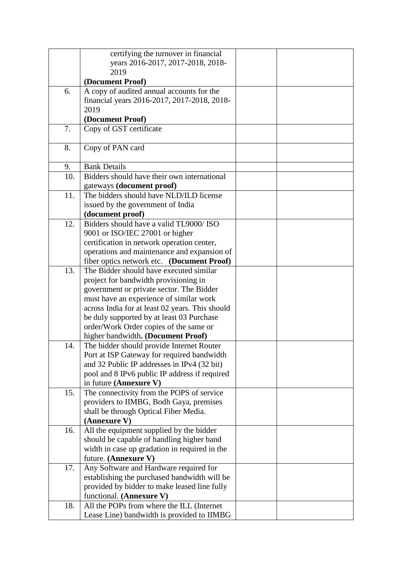|     | certifying the turnover in financial            |  |
|-----|-------------------------------------------------|--|
|     | years 2016-2017, 2017-2018, 2018-               |  |
|     | 2019                                            |  |
|     | (Document Proof)                                |  |
| 6.  | A copy of audited annual accounts for the       |  |
|     | financial years 2016-2017, 2017-2018, 2018-     |  |
|     | 2019                                            |  |
|     | (Document Proof)                                |  |
| 7.  | Copy of GST certificate                         |  |
|     |                                                 |  |
| 8.  | Copy of PAN card                                |  |
|     |                                                 |  |
| 9.  | <b>Bank Details</b>                             |  |
| 10. | Bidders should have their own international     |  |
|     | gateways (document proof)                       |  |
| 11. | The bidders should have NLD/ILD license         |  |
|     | issued by the government of India               |  |
|     | (document proof)                                |  |
| 12. | Bidders should have a valid TL9000/ ISO         |  |
|     | 9001 or ISO/IEC 27001 or higher                 |  |
|     | certification in network operation center,      |  |
|     | operations and maintenance and expansion of     |  |
|     | fiber optics network etc. (Document Proof)      |  |
| 13. | The Bidder should have executed similar         |  |
|     | project for bandwidth provisioning in           |  |
|     | government or private sector. The Bidder        |  |
|     | must have an experience of similar work         |  |
|     | across India for at least 02 years. This should |  |
|     | be duly supported by at least 03 Purchase       |  |
|     | order/Work Order copies of the same or          |  |
|     | higher bandwidth. (Document Proof)              |  |
| 14. | The bidder should provide Internet Router       |  |
|     | Port at ISP Gateway for required bandwidth      |  |
|     | and 32 Public IP addresses in IPv4 (32 bit)     |  |
|     | pool and 8 IPv6 public IP address if required   |  |
|     | in future (Annexure V)                          |  |
| 15. | The connectivity from the POPS of service       |  |
|     | providers to IIMBG, Bodh Gaya, premises         |  |
|     | shall be through Optical Fiber Media.           |  |
|     | (Annexure V)                                    |  |
| 16. | All the equipment supplied by the bidder        |  |
|     | should be capable of handling higher band       |  |
|     | width in case up gradation in required in the   |  |
|     | future. (Annexure V)                            |  |
| 17. | Any Software and Hardware required for          |  |
|     | establishing the purchased bandwidth will be    |  |
|     | provided by bidder to make leased line fully    |  |
|     | functional. (Annexure V)                        |  |
| 18. | All the POPs from where the ILL (Internet       |  |
|     | Lease Line) bandwidth is provided to IIMBG      |  |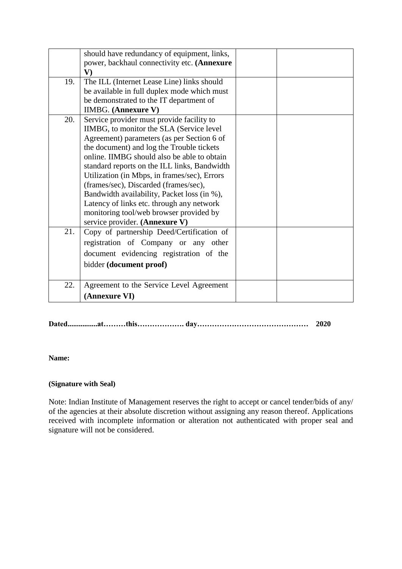|     | should have redundancy of equipment, links,<br>power, backhaul connectivity etc. (Annexure<br>$\mathbf{V}$                                                                                                                                                                                                                                                                                                                                                                                                       |  |
|-----|------------------------------------------------------------------------------------------------------------------------------------------------------------------------------------------------------------------------------------------------------------------------------------------------------------------------------------------------------------------------------------------------------------------------------------------------------------------------------------------------------------------|--|
| 19. | The ILL (Internet Lease Line) links should<br>be available in full duplex mode which must<br>be demonstrated to the IT department of                                                                                                                                                                                                                                                                                                                                                                             |  |
|     | <b>IIMBG.</b> (Annexure V)                                                                                                                                                                                                                                                                                                                                                                                                                                                                                       |  |
| 20. | Service provider must provide facility to<br>IIMBG, to monitor the SLA (Service level)<br>Agreement) parameters (as per Section 6 of<br>the document) and log the Trouble tickets<br>online. IIMBG should also be able to obtain<br>standard reports on the ILL links, Bandwidth<br>Utilization (in Mbps, in frames/sec), Errors<br>(frames/sec), Discarded (frames/sec),<br>Bandwidth availability, Packet loss (in %),<br>Latency of links etc. through any network<br>monitoring tool/web browser provided by |  |
| 21. | service provider. (Annexure V)<br>Copy of partnership Deed/Certification of<br>registration of Company or any other<br>document evidencing registration of the<br>bidder (document proof)                                                                                                                                                                                                                                                                                                                        |  |
| 22. | Agreement to the Service Level Agreement<br>(Annexure VI)                                                                                                                                                                                                                                                                                                                                                                                                                                                        |  |

## **Dated................at………this………………. day……………………………………… 2020**

#### **Name:**

#### **(Signature with Seal)**

Note: Indian Institute of Management reserves the right to accept or cancel tender/bids of any/ of the agencies at their absolute discretion without assigning any reason thereof. Applications received with incomplete information or alteration not authenticated with proper seal and signature will not be considered.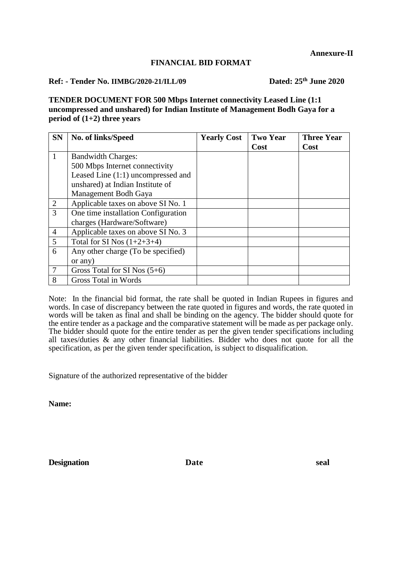#### **FINANCIAL BID FORMAT**

## **Ref: - Tender No. IIMBG/2020-21/ILL/09 Dated: 25th June 2020**

**TENDER DOCUMENT FOR 500 Mbps Internet connectivity Leased Line (1:1 uncompressed and unshared) for Indian Institute of Management Bodh Gaya for a period of (1+2) three years**

| <b>SN</b>      | No. of links/Speed                  | <b>Yearly Cost</b> | <b>Two Year</b> | <b>Three Year</b> |
|----------------|-------------------------------------|--------------------|-----------------|-------------------|
|                |                                     |                    | Cost            | Cost              |
| $\mathbf{1}$   | <b>Bandwidth Charges:</b>           |                    |                 |                   |
|                | 500 Mbps Internet connectivity      |                    |                 |                   |
|                | Leased Line (1:1) uncompressed and  |                    |                 |                   |
|                | unshared) at Indian Institute of    |                    |                 |                   |
|                | Management Bodh Gaya                |                    |                 |                   |
| 2              | Applicable taxes on above SI No. 1  |                    |                 |                   |
| 3              | One time installation Configuration |                    |                 |                   |
|                | charges (Hardware/Software)         |                    |                 |                   |
| $\overline{4}$ | Applicable taxes on above SI No. 3  |                    |                 |                   |
| 5              | Total for SI Nos $(1+2+3+4)$        |                    |                 |                   |
| 6              | Any other charge (To be specified)  |                    |                 |                   |
|                | or any)                             |                    |                 |                   |
|                | Gross Total for SI Nos $(5+6)$      |                    |                 |                   |
| 8              | Gross Total in Words                |                    |                 |                   |

Note: In the financial bid format, the rate shall be quoted in Indian Rupees in figures and words. In case of discrepancy between the rate quoted in figures and words, the rate quoted in words will be taken as final and shall be binding on the agency. The bidder should quote for the entire tender as a package and the comparative statement will be made as per package only. The bidder should quote for the entire tender as per the given tender specifications including all taxes/duties & any other financial liabilities. Bidder who does not quote for all the specification, as per the given tender specification, is subject to disqualification.

Signature of the authorized representative of the bidder

**Name:**

**Designation Date seal**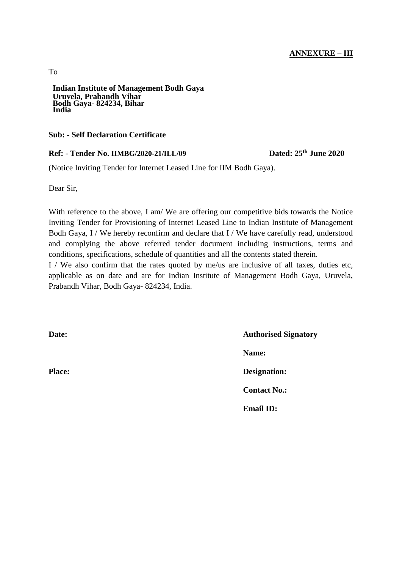# **ANNEXURE – III**

**Indian Institute of Management Bodh Gaya Uruvela, Prabandh Vihar Bodh Gaya- 824234, Bihar India**

#### **Sub: - Self Declaration Certificate**

#### **Ref: - Tender No. IIMBG/2020-21/ILL/09**

Dated: 25<sup>th</sup> June 2020

(Notice Inviting Tender for Internet Leased Line for IIM Bodh Gaya).

Dear Sir,

With reference to the above, I am/ We are offering our competitive bids towards the Notice Inviting Tender for Provisioning of Internet Leased Line to Indian Institute of Management Bodh Gaya, I / We hereby reconfirm and declare that I / We have carefully read, understood and complying the above referred tender document including instructions, terms and conditions, specifications, schedule of quantities and all the contents stated therein.

I / We also confirm that the rates quoted by me/us are inclusive of all taxes, duties etc, applicable as on date and are for Indian Institute of Management Bodh Gaya, Uruvela, Prabandh Vihar, Bodh Gaya- 824234, India.

**Date:** Authorised Signatory **Name: Place: Designation: Contact No.: Email ID:**

To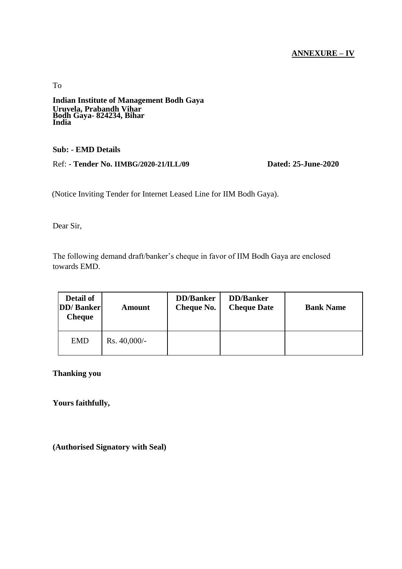## **ANNEXURE – IV**

To

**Indian Institute of Management Bodh Gaya Uruvela, Prabandh Vihar Bodh Gaya- 824234, Bihar India**

#### **Sub: - EMD Details**

Ref: - **Tender No. IIMBG/2020-21/ILL/09 Dated: 25-June-2020**

(Notice Inviting Tender for Internet Leased Line for IIM Bodh Gaya).

Dear Sir,

The following demand draft/banker's cheque in favor of IIM Bodh Gaya are enclosed towards EMD.

| Detail of<br><b>DD</b> / Banker<br><b>Cheque</b> | Amount          | <b>DD/Banker</b><br><b>Cheque No.</b> | <b>DD</b> /Banker<br><b>Cheque Date</b> | <b>Bank Name</b> |
|--------------------------------------------------|-----------------|---------------------------------------|-----------------------------------------|------------------|
| <b>EMD</b>                                       | $Rs. 40,000/$ - |                                       |                                         |                  |

**Thanking you**

**Yours faithfully,**

**(Authorised Signatory with Seal)**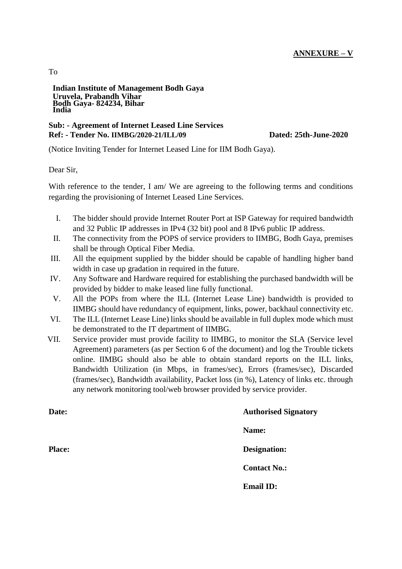# **ANNEXURE – V**

#### **Indian Institute of Management Bodh Gaya Uruvela, Prabandh Vihar Bodh Gaya- 824234, Bihar India**

#### **Sub: - Agreement of Internet Leased Line Services Ref: - Tender No. IIMBG/2020-21/ILL/09 Dated: 25th-June-2020**

(Notice Inviting Tender for Internet Leased Line for IIM Bodh Gaya).

Dear Sir,

With reference to the tender, I am/ We are agreeing to the following terms and conditions regarding the provisioning of Internet Leased Line Services.

- I. The bidder should provide Internet Router Port at ISP Gateway for required bandwidth and 32 Public IP addresses in IPv4 (32 bit) pool and 8 IPv6 public IP address.
- II. The connectivity from the POPS of service providers to IIMBG, Bodh Gaya, premises shall be through Optical Fiber Media.
- III. All the equipment supplied by the bidder should be capable of handling higher band width in case up gradation in required in the future.
- IV. Any Software and Hardware required for establishing the purchased bandwidth will be provided by bidder to make leased line fully functional.
- V. All the POPs from where the ILL (Internet Lease Line) bandwidth is provided to IIMBG should have redundancy of equipment, links, power, backhaul connectivity etc.
- VI. The ILL (Internet Lease Line) links should be available in full duplex mode which must be demonstrated to the IT department of IIMBG.
- VII. Service provider must provide facility to IIMBG, to monitor the SLA (Service level Agreement) parameters (as per Section 6 of the document) and log the Trouble tickets online. IIMBG should also be able to obtain standard reports on the ILL links, Bandwidth Utilization (in Mbps, in frames/sec), Errors (frames/sec), Discarded (frames/sec), Bandwidth availability, Packet loss (in %), Latency of links etc. through any network monitoring tool/web browser provided by service provider.

| Date:         | <b>Authorised Signatory</b> |
|---------------|-----------------------------|
|               | Name:                       |
| <b>Place:</b> | Designation:                |
|               | <b>Contact No.:</b>         |
|               | <b>Email ID:</b>            |
|               |                             |

To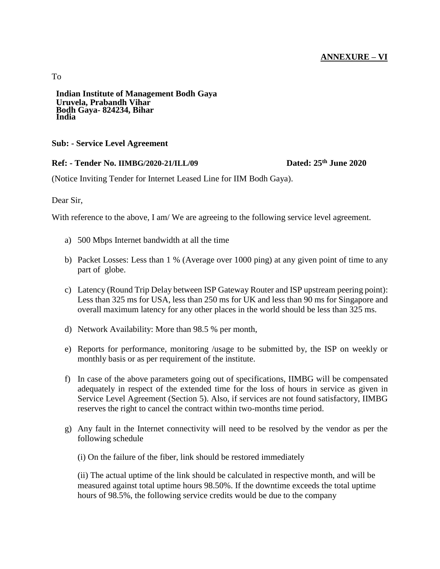#### **ANNEXURE – VI**

To

**Indian Institute of Management Bodh Gaya Uruvela, Prabandh Vihar Bodh Gaya- 824234, Bihar India**

#### **Sub: - Service Level Agreement**

#### **Ref: - Tender No. IIMBG/2020-21/ILL/09**

Dated:  $25<sup>th</sup>$  **June 2020** 

(Notice Inviting Tender for Internet Leased Line for IIM Bodh Gaya).

Dear Sir,

With reference to the above, I am/ We are agreeing to the following service level agreement.

- a) 500 Mbps Internet bandwidth at all the time
- b) Packet Losses: Less than 1 % (Average over 1000 ping) at any given point of time to any part of globe.
- c) Latency (Round Trip Delay between ISP Gateway Router and ISP upstream peering point): Less than 325 ms for USA, less than 250 ms for UK and less than 90 ms for Singapore and overall maximum latency for any other places in the world should be less than 325 ms.
- d) Network Availability: More than 98.5 % per month,
- e) Reports for performance, monitoring /usage to be submitted by, the ISP on weekly or monthly basis or as per requirement of the institute.
- f) In case of the above parameters going out of specifications, IIMBG will be compensated adequately in respect of the extended time for the loss of hours in service as given in Service Level Agreement (Section 5). Also, if services are not found satisfactory, IIMBG reserves the right to cancel the contract within two-months time period.
- g) Any fault in the Internet connectivity will need to be resolved by the vendor as per the following schedule

(i) On the failure of the fiber, link should be restored immediately

(ii) The actual uptime of the link should be calculated in respective month, and will be measured against total uptime hours 98.50%. If the downtime exceeds the total uptime hours of 98.5%, the following service credits would be due to the company